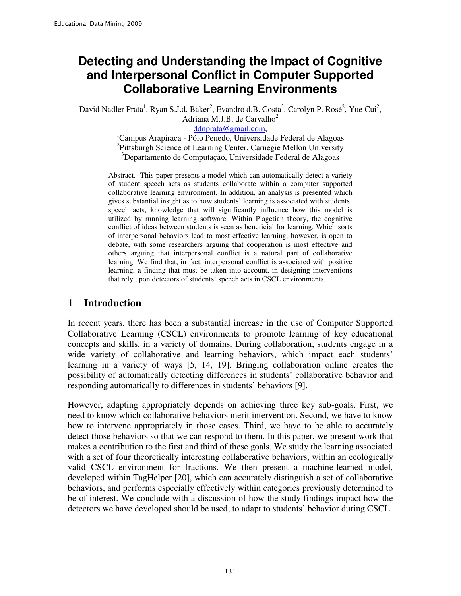# **Detecting and Understanding the Impact of Cognitive and Interpersonal Conflict in Computer Supported Collaborative Learning Environments**

David Nadler Prata<sup>1</sup>, Ryan S.J.d. Baker<sup>2</sup>, Evandro d.B. Costa<sup>3</sup>, Carolyn P. Rosé<sup>2</sup>, Yue Cui<sup>2</sup>, Adriana M.J.B. de Carvalho $2$ 

ddnprata@gmail.com,

 ${}^{1}$ Campus Arapiraca - Pólo Penedo, Universidade Federal de Alagoas <sup>2</sup>Pittsburgh Science of Learning Center, Carnegie Mellon University <sup>3</sup>Departamento de Computação, Universidade Federal de Alagoas

Abstract. This paper presents a model which can automatically detect a variety of student speech acts as students collaborate within a computer supported collaborative learning environment. In addition, an analysis is presented which gives substantial insight as to how students' learning is associated with students' speech acts, knowledge that will significantly influence how this model is utilized by running learning software. Within Piagetian theory, the cognitive conflict of ideas between students is seen as beneficial for learning. Which sorts of interpersonal behaviors lead to most effective learning, however, is open to debate, with some researchers arguing that cooperation is most effective and others arguing that interpersonal conflict is a natural part of collaborative learning. We find that, in fact, interpersonal conflict is associated with positive learning, a finding that must be taken into account, in designing interventions that rely upon detectors of students' speech acts in CSCL environments.

### **1 Introduction**

In recent years, there has been a substantial increase in the use of Computer Supported Collaborative Learning (CSCL) environments to promote learning of key educational concepts and skills, in a variety of domains. During collaboration, students engage in a wide variety of collaborative and learning behaviors, which impact each students' learning in a variety of ways [5, 14, 19]. Bringing collaboration online creates the possibility of automatically detecting differences in students' collaborative behavior and responding automatically to differences in students' behaviors [9].

However, adapting appropriately depends on achieving three key sub-goals. First, we need to know which collaborative behaviors merit intervention. Second, we have to know how to intervene appropriately in those cases. Third, we have to be able to accurately detect those behaviors so that we can respond to them. In this paper, we present work that makes a contribution to the first and third of these goals. We study the learning associated with a set of four theoretically interesting collaborative behaviors, within an ecologically valid CSCL environment for fractions. We then present a machine-learned model, developed within TagHelper [20], which can accurately distinguish a set of collaborative behaviors, and performs especially effectively within categories previously determined to be of interest. We conclude with a discussion of how the study findings impact how the detectors we have developed should be used, to adapt to students' behavior during CSCL.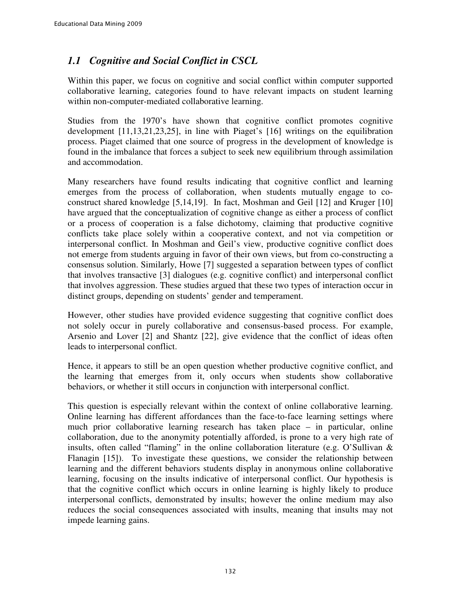# *1.1 Cognitive and Social Conflict in CSCL*

Within this paper, we focus on cognitive and social conflict within computer supported collaborative learning, categories found to have relevant impacts on student learning within non-computer-mediated collaborative learning.

Studies from the 1970's have shown that cognitive conflict promotes cognitive development [11,13,21,23,25], in line with Piaget's [16] writings on the equilibration process. Piaget claimed that one source of progress in the development of knowledge is found in the imbalance that forces a subject to seek new equilibrium through assimilation and accommodation.

Many researchers have found results indicating that cognitive conflict and learning emerges from the process of collaboration, when students mutually engage to coconstruct shared knowledge [5,14,19]. In fact, Moshman and Geil [12] and Kruger [10] have argued that the conceptualization of cognitive change as either a process of conflict or a process of cooperation is a false dichotomy, claiming that productive cognitive conflicts take place solely within a cooperative context, and not via competition or interpersonal conflict. In Moshman and Geil's view, productive cognitive conflict does not emerge from students arguing in favor of their own views, but from co-constructing a consensus solution. Similarly, Howe [7] suggested a separation between types of conflict that involves transactive [3] dialogues (e.g. cognitive conflict) and interpersonal conflict that involves aggression. These studies argued that these two types of interaction occur in distinct groups, depending on students' gender and temperament.

However, other studies have provided evidence suggesting that cognitive conflict does not solely occur in purely collaborative and consensus-based process. For example, Arsenio and Lover [2] and Shantz [22], give evidence that the conflict of ideas often leads to interpersonal conflict.

Hence, it appears to still be an open question whether productive cognitive conflict, and the learning that emerges from it, only occurs when students show collaborative behaviors, or whether it still occurs in conjunction with interpersonal conflict.

This question is especially relevant within the context of online collaborative learning. Online learning has different affordances than the face-to-face learning settings where much prior collaborative learning research has taken place – in particular, online collaboration, due to the anonymity potentially afforded, is prone to a very high rate of insults, often called "flaming" in the online collaboration literature (e.g. O'Sullivan & Flanagin [15]). To investigate these questions, we consider the relationship between learning and the different behaviors students display in anonymous online collaborative learning, focusing on the insults indicative of interpersonal conflict. Our hypothesis is that the cognitive conflict which occurs in online learning is highly likely to produce interpersonal conflicts, demonstrated by insults; however the online medium may also reduces the social consequences associated with insults, meaning that insults may not impede learning gains.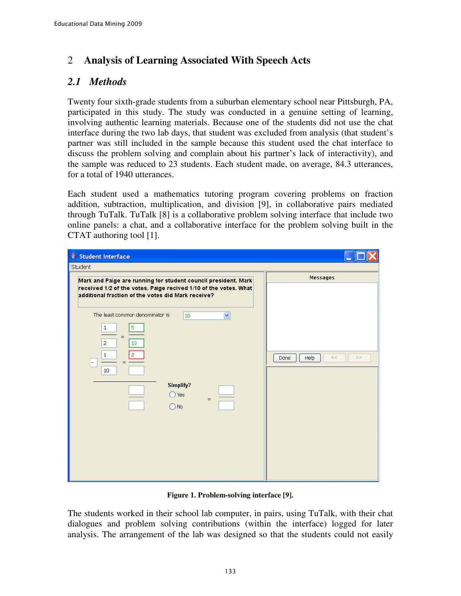# 2 **Analysis of Learning Associated With Speech Acts**

# *2.1 Methods*

Twenty four sixth-grade students from a suburban elementary school near Pittsburgh, PA, participated in this study. The study was conducted in a genuine setting of learning, involving authentic learning materials. Because one of the students did not use the chat interface during the two lab days, that student was excluded from analysis (that student's partner was still included in the sample because this student used the chat interface to discuss the problem solving and complain about his partner's lack of interactivity), and the sample was reduced to 23 students. Each student made, on average, 84.3 utterances, for a total of 1940 utterances.

Each student used a mathematics tutoring program covering problems on fraction addition, subtraction, multiplication, and division [9], in collaborative pairs mediated through TuTalk. TuTalk [8] is a collaborative problem solving interface that include two online panels: a chat, and a collaborative interface for the problem solving built in the CTAT authoring tool [1].

| Student Interface                                                                                                                                                                                           |                              |
|-------------------------------------------------------------------------------------------------------------------------------------------------------------------------------------------------------------|------------------------------|
| Student                                                                                                                                                                                                     |                              |
| Mark and Paige are running for student council president. Mark<br>received 1/2 of the votes. Paige recived 1/10 of the votes. What<br>additional fraction of the votes did Mark receive?                    | <b>Messages</b>              |
| The least common denominator is<br>$\checkmark$<br>10<br>5<br>$1\,$<br>$=$<br>$\overline{2}$<br>10<br>$1\,$<br>$=$<br>$\overline{\phantom{a}}$<br>10<br>Simplify?<br>$\bigcirc$ Yes<br>$=$<br>$\bigcirc$ No | Help<br>$<<$<br>$>>$<br>Done |

**Figure 1. Problem-solving interface [9].** 

The students worked in their school lab computer, in pairs, using TuTalk, with their chat dialogues and problem solving contributions (within the interface) logged for later analysis. The arrangement of the lab was designed so that the students could not easily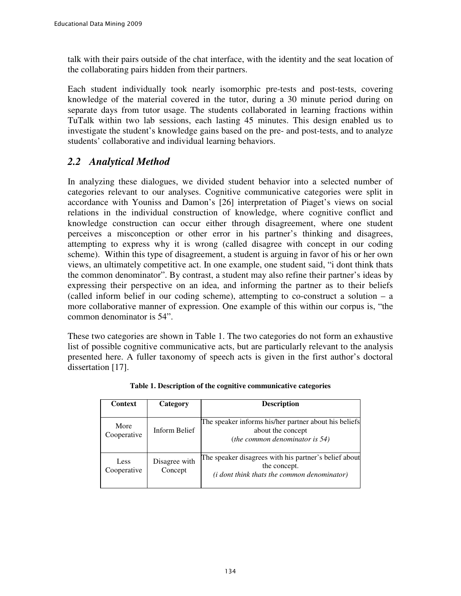talk with their pairs outside of the chat interface, with the identity and the seat location of the collaborating pairs hidden from their partners.

Each student individually took nearly isomorphic pre-tests and post-tests, covering knowledge of the material covered in the tutor, during a 30 minute period during on separate days from tutor usage. The students collaborated in learning fractions within TuTalk within two lab sessions, each lasting 45 minutes. This design enabled us to investigate the student's knowledge gains based on the pre- and post-tests, and to analyze students' collaborative and individual learning behaviors.

# *2.2 Analytical Method*

In analyzing these dialogues, we divided student behavior into a selected number of categories relevant to our analyses. Cognitive communicative categories were split in accordance with Youniss and Damon's [26] interpretation of Piaget's views on social relations in the individual construction of knowledge, where cognitive conflict and knowledge construction can occur either through disagreement, where one student perceives a misconception or other error in his partner's thinking and disagrees, attempting to express why it is wrong (called disagree with concept in our coding scheme). Within this type of disagreement, a student is arguing in favor of his or her own views, an ultimately competitive act. In one example, one student said, "i dont think thats the common denominator". By contrast, a student may also refine their partner's ideas by expressing their perspective on an idea, and informing the partner as to their beliefs (called inform belief in our coding scheme), attempting to co-construct a solution – a more collaborative manner of expression. One example of this within our corpus is, "the common denominator is 54".

These two categories are shown in Table 1. The two categories do not form an exhaustive list of possible cognitive communicative acts, but are particularly relevant to the analysis presented here. A fuller taxonomy of speech acts is given in the first author's doctoral dissertation [17].

| <b>Context</b>      | Category                 | <b>Description</b>                                                                                                           |  |  |
|---------------------|--------------------------|------------------------------------------------------------------------------------------------------------------------------|--|--|
|                     |                          | The speaker informs his/her partner about his beliefs                                                                        |  |  |
| More<br>Cooperative | Inform Belief            | about the concept<br>(the common denominator is $54$ )                                                                       |  |  |
| Less<br>Cooperative | Disagree with<br>Concept | The speaker disagrees with his partner's belief about<br>the concept.<br>( <i>i</i> dont think thats the common denominator) |  |  |

**Table 1. Description of the cognitive communicative categories**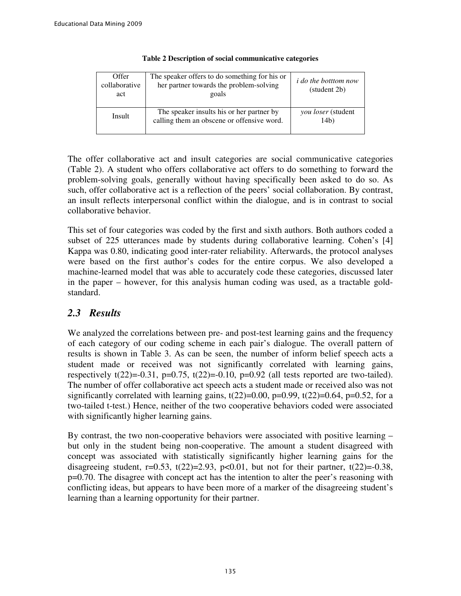| Offer<br>collaborative<br>act | The speaker offers to do something for his or<br>her partner towards the problem-solving<br>goals | <i>i do the botttom now</i><br>(student 2b) |
|-------------------------------|---------------------------------------------------------------------------------------------------|---------------------------------------------|
| Insult                        | The speaker insults his or her partner by<br>calling them an obscene or offensive word.           | <i>you loser</i> (student<br>14b)           |

#### **Table 2 Description of social communicative categories**

The offer collaborative act and insult categories are social communicative categories (Table 2). A student who offers collaborative act offers to do something to forward the problem-solving goals, generally without having specifically been asked to do so. As such, offer collaborative act is a reflection of the peers' social collaboration. By contrast, an insult reflects interpersonal conflict within the dialogue, and is in contrast to social collaborative behavior.

This set of four categories was coded by the first and sixth authors. Both authors coded a subset of 225 utterances made by students during collaborative learning. Cohen's [4] Kappa was 0.80, indicating good inter-rater reliability. Afterwards, the protocol analyses were based on the first author's codes for the entire corpus. We also developed a machine-learned model that was able to accurately code these categories, discussed later in the paper – however, for this analysis human coding was used, as a tractable goldstandard.

# *2.3 Results*

We analyzed the correlations between pre- and post-test learning gains and the frequency of each category of our coding scheme in each pair's dialogue. The overall pattern of results is shown in Table 3. As can be seen, the number of inform belief speech acts a student made or received was not significantly correlated with learning gains, respectively  $t(22)=0.31$ ,  $p=0.75$ ,  $t(22)=0.10$ ,  $p=0.92$  (all tests reported are two-tailed). The number of offer collaborative act speech acts a student made or received also was not significantly correlated with learning gains,  $t(22)=0.00$ ,  $p=0.99$ ,  $t(22)=0.64$ ,  $p=0.52$ , for a two-tailed t-test.) Hence, neither of the two cooperative behaviors coded were associated with significantly higher learning gains.

By contrast, the two non-cooperative behaviors were associated with positive learning – but only in the student being non-cooperative. The amount a student disagreed with concept was associated with statistically significantly higher learning gains for the disagreeing student,  $r=0.53$ ,  $t(22)=2.93$ ,  $p<0.01$ , but not for their partner,  $t(22)=0.38$ , p=0.70. The disagree with concept act has the intention to alter the peer's reasoning with conflicting ideas, but appears to have been more of a marker of the disagreeing student's learning than a learning opportunity for their partner.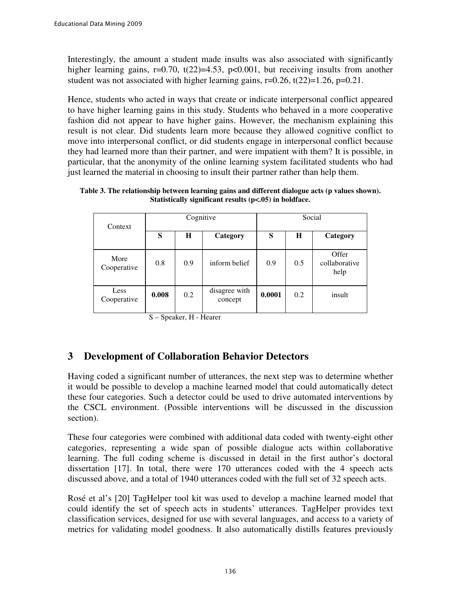Interestingly, the amount a student made insults was also associated with significantly higher learning gains,  $r=0.70$ ,  $t(22)=4.53$ ,  $p<0.001$ , but receiving insults from another student was not associated with higher learning gains,  $r=0.26$ ,  $t(22)=1.26$ ,  $p=0.21$ .

Hence, students who acted in ways that create or indicate interpersonal conflict appeared to have higher learning gains in this study. Students who behaved in a more cooperative fashion did not appear to have higher gains. However, the mechanism explaining this result is not clear. Did students learn more because they allowed cognitive conflict to move into interpersonal conflict, or did students engage in interpersonal conflict because they had learned more than their partner, and were impatient with them? It is possible, in particular, that the anonymity of the online learning system facilitated students who had just learned the material in choosing to insult their partner rather than help them.

| Table 3. The relationship between learning gains and different dialogue acts (p values shown). |  |
|------------------------------------------------------------------------------------------------|--|
| Statistically significant results $(p<0.05)$ in boldface.                                      |  |

| Context             | Cognitive |     | Social                   |        |     |                                |
|---------------------|-----------|-----|--------------------------|--------|-----|--------------------------------|
|                     | S         | H   | Category                 | S      | H   | Category                       |
| More<br>Cooperative | 0.8       | 0.9 | inform belief            | 0.9    | 0.5 | Offer<br>collaborative<br>help |
| Less<br>Cooperative | 0.008     | 0.2 | disagree with<br>concept | 0.0001 | 0.2 | insult                         |

S – Speaker, H - Hearer

# **3 Development of Collaboration Behavior Detectors**

Having coded a significant number of utterances, the next step was to determine whether it would be possible to develop a machine learned model that could automatically detect these four categories. Such a detector could be used to drive automated interventions by the CSCL environment. (Possible interventions will be discussed in the discussion section).

These four categories were combined with additional data coded with twenty-eight other categories, representing a wide span of possible dialogue acts within collaborative learning. The full coding scheme is discussed in detail in the first author's doctoral dissertation [17]. In total, there were 170 utterances coded with the 4 speech acts discussed above, and a total of 1940 utterances coded with the full set of 32 speech acts.

Rosé et al's [20] TagHelper tool kit was used to develop a machine learned model that could identify the set of speech acts in students' utterances. TagHelper provides text classification services, designed for use with several languages, and access to a variety of metrics for validating model goodness. It also automatically distills features previously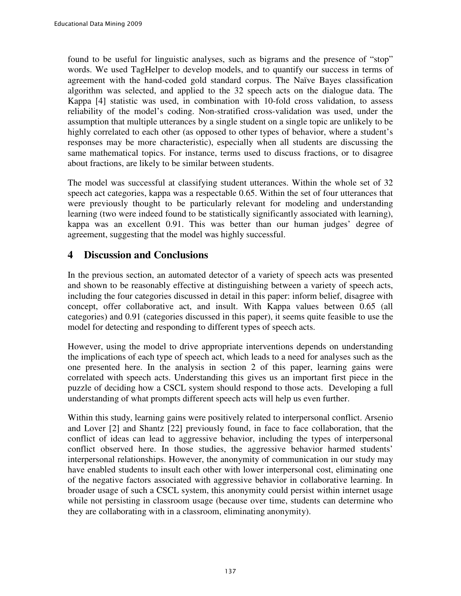found to be useful for linguistic analyses, such as bigrams and the presence of "stop" words. We used TagHelper to develop models, and to quantify our success in terms of agreement with the hand-coded gold standard corpus. The Naïve Bayes classification algorithm was selected, and applied to the 32 speech acts on the dialogue data. The Kappa [4] statistic was used, in combination with 10-fold cross validation, to assess reliability of the model's coding. Non-stratified cross-validation was used, under the assumption that multiple utterances by a single student on a single topic are unlikely to be highly correlated to each other (as opposed to other types of behavior, where a student's responses may be more characteristic), especially when all students are discussing the same mathematical topics. For instance, terms used to discuss fractions, or to disagree about fractions, are likely to be similar between students.

The model was successful at classifying student utterances. Within the whole set of 32 speech act categories, kappa was a respectable 0.65. Within the set of four utterances that were previously thought to be particularly relevant for modeling and understanding learning (two were indeed found to be statistically significantly associated with learning), kappa was an excellent 0.91. This was better than our human judges' degree of agreement, suggesting that the model was highly successful.

# **4 Discussion and Conclusions**

In the previous section, an automated detector of a variety of speech acts was presented and shown to be reasonably effective at distinguishing between a variety of speech acts, including the four categories discussed in detail in this paper: inform belief, disagree with concept, offer collaborative act, and insult. With Kappa values between 0.65 (all categories) and 0.91 (categories discussed in this paper), it seems quite feasible to use the model for detecting and responding to different types of speech acts.

However, using the model to drive appropriate interventions depends on understanding the implications of each type of speech act, which leads to a need for analyses such as the one presented here. In the analysis in section 2 of this paper, learning gains were correlated with speech acts. Understanding this gives us an important first piece in the puzzle of deciding how a CSCL system should respond to those acts. Developing a full understanding of what prompts different speech acts will help us even further.

Within this study, learning gains were positively related to interpersonal conflict. Arsenio and Lover [2] and Shantz [22] previously found, in face to face collaboration, that the conflict of ideas can lead to aggressive behavior, including the types of interpersonal conflict observed here. In those studies, the aggressive behavior harmed students' interpersonal relationships. However, the anonymity of communication in our study may have enabled students to insult each other with lower interpersonal cost, eliminating one of the negative factors associated with aggressive behavior in collaborative learning. In broader usage of such a CSCL system, this anonymity could persist within internet usage while not persisting in classroom usage (because over time, students can determine who they are collaborating with in a classroom, eliminating anonymity).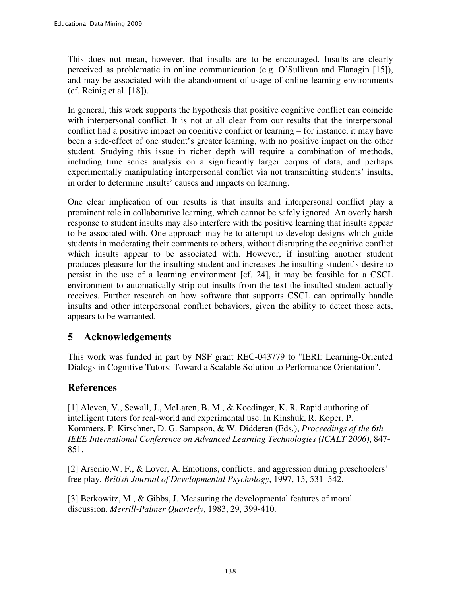This does not mean, however, that insults are to be encouraged. Insults are clearly perceived as problematic in online communication (e.g. O'Sullivan and Flanagin [15]), and may be associated with the abandonment of usage of online learning environments (cf. Reinig et al. [18]).

In general, this work supports the hypothesis that positive cognitive conflict can coincide with interpersonal conflict. It is not at all clear from our results that the interpersonal conflict had a positive impact on cognitive conflict or learning – for instance, it may have been a side-effect of one student's greater learning, with no positive impact on the other student. Studying this issue in richer depth will require a combination of methods, including time series analysis on a significantly larger corpus of data, and perhaps experimentally manipulating interpersonal conflict via not transmitting students' insults, in order to determine insults' causes and impacts on learning.

One clear implication of our results is that insults and interpersonal conflict play a prominent role in collaborative learning, which cannot be safely ignored. An overly harsh response to student insults may also interfere with the positive learning that insults appear to be associated with. One approach may be to attempt to develop designs which guide students in moderating their comments to others, without disrupting the cognitive conflict which insults appear to be associated with. However, if insulting another student produces pleasure for the insulting student and increases the insulting student's desire to persist in the use of a learning environment [cf. 24], it may be feasible for a CSCL environment to automatically strip out insults from the text the insulted student actually receives. Further research on how software that supports CSCL can optimally handle insults and other interpersonal conflict behaviors, given the ability to detect those acts, appears to be warranted.

# **5 Acknowledgements**

This work was funded in part by NSF grant REC-043779 to "IERI: Learning-Oriented Dialogs in Cognitive Tutors: Toward a Scalable Solution to Performance Orientation".

# **References**

[1] Aleven, V., Sewall, J., McLaren, B. M., & Koedinger, K. R. Rapid authoring of intelligent tutors for real-world and experimental use. In Kinshuk, R. Koper, P. Kommers, P. Kirschner, D. G. Sampson, & W. Didderen (Eds.), *Proceedings of the 6th IEEE International Conference on Advanced Learning Technologies (ICALT 2006)*, 847- 851.

[2] Arsenio,W. F., & Lover, A. Emotions, conflicts, and aggression during preschoolers' free play. *British Journal of Developmental Psychology*, 1997, 15, 531–542.

[3] Berkowitz, M., & Gibbs, J. Measuring the developmental features of moral discussion. *Merrill-Palmer Quarterly*, 1983, 29, 399-410.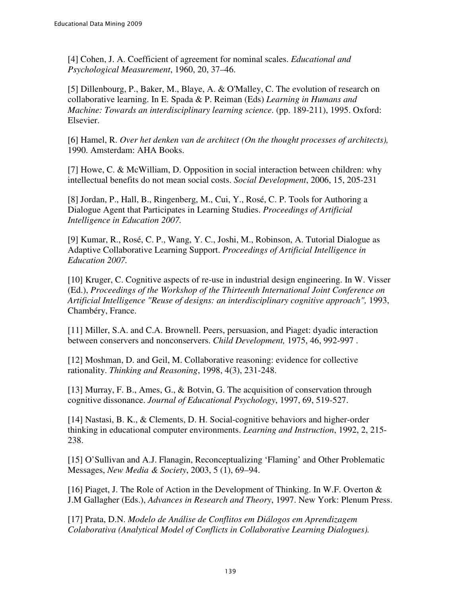[4] Cohen, J. A. Coefficient of agreement for nominal scales. *Educational and Psychological Measurement*, 1960, 20, 37–46.

[5] Dillenbourg, P., Baker, M., Blaye, A. & O'Malley, C. The evolution of research on collaborative learning. In E. Spada & P. Reiman (Eds) *Learning in Humans and Machine: Towards an interdisciplinary learning science*. (pp. 189-211), 1995. Oxford: Elsevier.

[6] Hamel, R. *Over het denken van de architect (On the thought processes of architects),*  1990. Amsterdam: AHA Books.

[7] Howe, C. & McWilliam, D. Opposition in social interaction between children: why intellectual benefits do not mean social costs. *Social Development*, 2006, 15, 205-231

[8] Jordan, P., Hall, B., Ringenberg, M., Cui, Y., Rosé, C. P. Tools for Authoring a Dialogue Agent that Participates in Learning Studies. *Proceedings of Artificial Intelligence in Education 2007.*

[9] Kumar, R., Rosé, C. P., Wang, Y. C., Joshi, M., Robinson, A. Tutorial Dialogue as Adaptive Collaborative Learning Support. *Proceedings of Artificial Intelligence in Education 2007.*

[10] Kruger, C. Cognitive aspects of re-use in industrial design engineering. In W. Visser (Ed.), *Proceedings of the Workshop of the Thirteenth International Joint Conference on Artificial Intelligence "Reuse of designs: an interdisciplinary cognitive approach",* 1993, Chambéry, France.

[11] Miller, S.A. and C.A. Brownell. Peers, persuasion, and Piaget: dyadic interaction between conservers and nonconservers. *Child Development,* 1975, 46, 992-997 .

[12] Moshman, D. and Geil, M. Collaborative reasoning: evidence for collective rationality. *Thinking and Reasoning*, 1998, 4(3), 231-248.

[13] Murray, F. B., Ames, G., & Botvin, G. The acquisition of conservation through cognitive dissonance. *Journal of Educational Psychology*, 1997, 69, 519-527.

[14] Nastasi, B. K., & Clements, D. H. Social-cognitive behaviors and higher-order thinking in educational computer environments. *Learning and Instruction*, 1992, 2, 215- 238.

[15] O'Sullivan and A.J. Flanagin, Reconceptualizing 'Flaming' and Other Problematic Messages, *New Media & Society*, 2003, 5 (1), 69–94.

[16] Piaget, J. The Role of Action in the Development of Thinking. In W.F. Overton & J.M Gallagher (Eds.), *Advances in Research and Theory*, 1997. New York: Plenum Press.

[17] Prata, D.N. *Modelo de Análise de Conflitos em Diálogos em Aprendizagem Colaborativa (Analytical Model of Conflicts in Collaborative Learning Dialogues).*